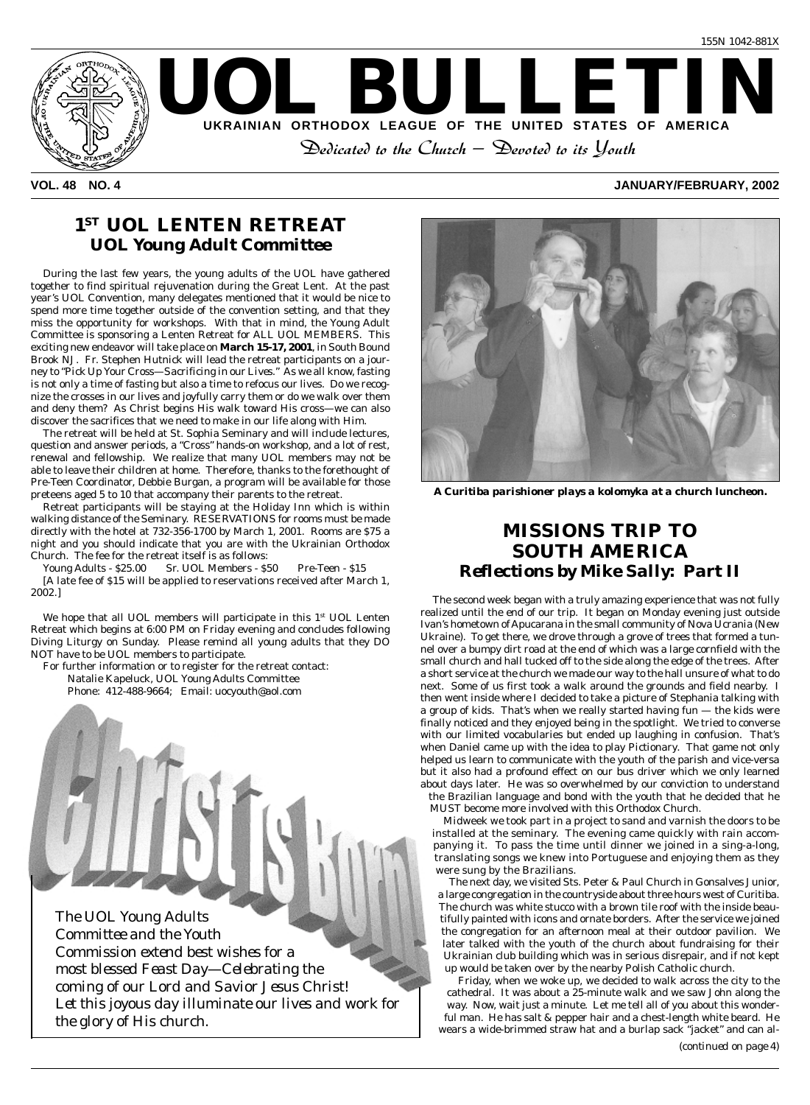

#### **VOL. 48 NO. 4 JANUARY/FEBRUARY, 2002**

## **1ST UOL LENTEN RETREAT** *UOL Young Adult Committee*

During the last few years, the young adults of the UOL have gathered together to find spiritual rejuvenation during the Great Lent. At the past year's UOL Convention, many delegates mentioned that it would be nice to spend more time together outside of the convention setting, and that they miss the opportunity for workshops. With that in mind, the Young Adult Committee is sponsoring a Lenten Retreat for ALL UOL MEMBERS. This exciting new endeavor will take place on **March 15-17, 2001**, in South Bound Brook NJ. Fr. Stephen Hutnick will lead the retreat participants on a journey to *"Pick Up Your Cross—Sacrificing in our Lives."* As we all know, fasting is not only a time of fasting but also a time to refocus our lives. Do we recognize the crosses in our lives and joyfully carry them or do we walk over them and deny them? As Christ begins His walk toward His cross—we can also discover the sacrifices that we need to make in our life along with Him.

The retreat will be held at St. Sophia Seminary and will include lectures, question and answer periods, a "Cross" hands-on workshop, and a lot of rest, renewal and fellowship. We realize that many UOL members may not be able to leave their children at home. Therefore, thanks to the forethought of Pre-Teen Coordinator, Debbie Burgan, a program will be available for those preteens aged 5 to 10 that accompany their parents to the retreat.

Retreat participants will be staying at the Holiday Inn which is within walking distance of the Seminary. RESERVATIONS for rooms must be made directly with the hotel at 732-356-1700 by March 1, 2001. Rooms are \$75 a night and you should indicate that you are with the Ukrainian Orthodox Church. The fee for the retreat itself is as follows:

Young Adults - \$25.00 Sr. UOL Members - \$50 Pre-Teen - \$15 [A late fee of \$15 will be applied to reservations received after March 1, 2002.]

We hope that all UOL members will participate in this 1<sup>st</sup> UOL Lenten Retreat which begins at 6:00 PM on Friday evening and concludes following Diving Liturgy on Sunday. Please remind all young adults that they DO NOT have to be UOL members to participate.

For further information or to register for the retreat contact: Natalie Kapeluck, UOL Young Adults Committee

Phone: 412-488-9664; Email: uocyouth@aol.com





*A Curitiba parishioner plays a kolomyka at a church luncheon.*

## **MISSIONS TRIP TO SOUTH AMERICA** *Reflections by Mike Sally: Part II*

The second week began with a truly amazing experience that was not fully realized until the end of our trip. It began on Monday evening just outside Ivan's hometown of Apucarana in the small community of Nova Ucrania (New Ukraine). To get there, we drove through a grove of trees that formed a tunnel over a bumpy dirt road at the end of which was a large cornfield with the small church and hall tucked off to the side along the edge of the trees. After a short service at the church we made our way to the hall unsure of what to do next. Some of us first took a walk around the grounds and field nearby. I then went inside where I decided to take a picture of Stephania talking with a group of kids. That's when we really started having fun — the kids were finally noticed and they enjoyed being in the spotlight. We tried to converse with our limited vocabularies but ended up laughing in confusion. That's when Daniel came up with the idea to play *Pictionary*. That game not only helped us learn to communicate with the youth of the parish and vice-versa but it also had a profound effect on our bus driver which we only learned about days later. He was so overwhelmed by our conviction to understand the Brazilian language and bond with the youth that he decided that he MUST become more involved with this Orthodox Church.

Midweek we took part in a project to sand and varnish the doors to be installed at the seminary. The evening came quickly with rain accompanying it. To pass the time until dinner we joined in a sing-a-long, translating songs we knew into Portuguese and enjoying them as they were sung by the Brazilians.

The next day, we visited Sts. Peter & Paul Church in Gonsalves Junior, a large congregation in the countryside about three hours west of Curitiba. The church was white stucco with a brown tile roof with the inside beautifully painted with icons and ornate borders. After the service we joined the congregation for an afternoon meal at their outdoor pavilion. We later talked with the youth of the church about fundraising for their Ukrainian club building which was in serious disrepair, and if not kept up would be taken over by the nearby Polish Catholic church.

Friday, when we woke up, we decided to walk across the city to the cathedral. It was about a 25-minute walk and we saw John along the way. Now, wait just a minute. Let me tell all of you about this wonderful man. He has salt & pepper hair and a chest-length white beard. He wears a wide-brimmed straw hat and a burlap sack "jacket" and can al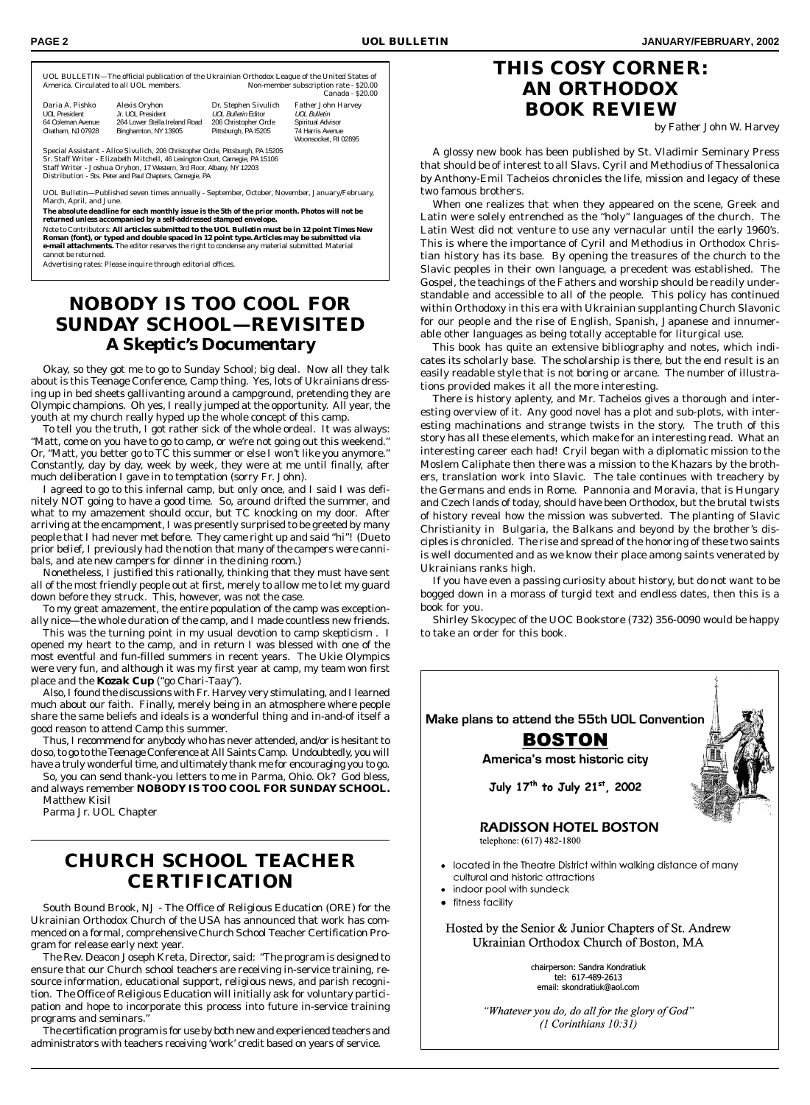UOL BULLETIN—The official publication of the Ukrainian Orthodox League of the United States of Non-member subscription rate - \$20.00 Canada - \$20.00

| Daria A. Pishko   | Alexis Oryhon                 | Dr. Stephen Sivulich   | Father John Harvey   |
|-------------------|-------------------------------|------------------------|----------------------|
| UOL President     | Jr. UOL President             | UOL Bulletin Editor    | UOL Bulletin         |
| 64 Coleman Avenue | 264 Lower Stella Ireland Road | 206 Christopher Circle | Spiritual Advisor    |
| Chatham, NJ 07928 | Binghamton, NY 13905          | Pittsburgh, PA 15205   | 74 Harris Avenue     |
|                   |                               |                        | Woonsocket, RI 02895 |

Special Assistant - *Alice Sivulich,* 206 Christopher Circle, Pittsburgh, PA 15205 Sr. Staff Writer - *Elizabeth Mitchell,* 46 Lexington Court, Carnegie, PA 15106 Staff Writer - *Joshua Oryhon,* 17 Western, 3rd Floor, Albany, NY 12203 Distribution - Sts. Peter and Paul Chapters, Carnegie, PA

*UOL Bulletin*—Published seven times annually - September, October, November, January/February, March, April, and June.

**The absolute deadline for each monthly issue is the 5th of the prior month. Photos will not be returned unless accompanied by a self-addressed stamped envelope.**

Note to Contributors: **All articles submitted to the** *UOL Bulletin* **must be in 12 point Times New Roman (font), or typed and double spaced in 12 point type. Articles may be submitted via e-mail attachments.** The editor reserves the right to condense any material submitted. Material cannot be returned.

Advertising rates: Please inquire through editorial offices.

## **NOBODY IS TOO COOL FOR SUNDAY SCHOOL—REVISITED** *A Skeptic's Documentary*

Okay, so they got me to go to Sunday School; big deal. Now all they talk about is this Teenage Conference, Camp thing. Yes, lots of Ukrainians dressing up in bed sheets gallivanting around a campground, pretending they are Olympic champions. Oh yes, I really jumped at the opportunity. All year, the youth at my church really hyped up the whole concept of this camp.

To tell you the truth, I got rather sick of the whole ordeal. It was always: "Matt, come on you have to go to camp, or we're not going out this weekend." Or, "Matt, you better go to TC this summer or else I won't like you anymore." Constantly, day by day, week by week, they were at me until finally, after much deliberation I gave in to temptation (sorry Fr. John).

I agreed to go to this infernal camp, but only once, and I said I was definitely NOT going to have a good time. So, around drifted the summer, and what to my amazement should occur, but TC knocking on my door. After arriving at the encampment, I was presently surprised to be greeted by many people that I had never met before. They came right up and said "hi"! *(Due to prior belief, I previously had the notion that many of the campers were cannibals, and ate new campers for dinner in the dining room.)*

Nonetheless, I justified this rationally, thinking that they must have sent all of the most friendly people out at first, merely to allow me to let my guard down before they struck. This, however, was not the case.

To my great amazement, the entire population of the camp was exceptionally nice—the whole duration of the camp, and I made countless new friends.

This was the turning point in my usual devotion to *camp skepticism* . I opened my heart to the camp, and in return I was blessed with one of the most eventful and fun-filled summers in recent years. The Ukie Olympics were very fun, and although it was my first year at camp, my team won first place and the *Kozak Cup ("go Chari-Taay").*

Also, I found the discussions with Fr. Harvey very stimulating, and I learned much about our faith. Finally, merely being in an atmosphere where people share the same beliefs and ideals is a wonderful thing and in-and-of itself a good reason to attend Camp this summer.

Thus, I recommend for anybody who has never attended, and/or is hesitant to do so, to go to the Teenage Conference at All Saints Camp. Undoubtedly, you will have a truly wonderful time, and ultimately thank me for encouraging you to go.

So, you can send thank-you letters to me in Parma, Ohio. Ok? God bless, and always remember *NOBODY IS TOO COOL FOR SUNDAY SCHOOL.* Matthew Kisil

Parma Jr. UOL Chapter

## **CHURCH SCHOOL TEACHER CERTIFICATION**

South Bound Brook, NJ - The Office of Religious Education (ORE) for the Ukrainian Orthodox Church of the USA has announced that work has commenced on a formal, comprehensive Church School Teacher Certification Program for release early next year.

The Rev. Deacon Joseph Kreta, Director, said: "The program is designed to ensure that our Church school teachers are receiving in-service training, resource information, educational support, religious news, and parish recognition. The Office of Religious Education will initially ask for voluntary participation and hope to incorporate this process into future in-service training programs and seminars."

The certification program is for use by both new and experienced teachers and administrators with teachers receiving 'work' credit based on years of service.

## **THIS COSY CORNER: AN ORTHODOX BOOK REVIEW**

by Father John W. Harvey

A glossy new book has been published by St. Vladimir Seminary Press that should be of interest to all Slavs. Cyril and Methodius of Thessalonica by Anthony-Emil Tacheios chronicles the life, mission and legacy of these two famous brothers.

When one realizes that when they appeared on the scene, Greek and Latin were solely entrenched as the "holy" languages of the church. The Latin West did not venture to use any vernacular until the early 1960's. This is where the importance of Cyril and Methodius in Orthodox Christian history has its base. By opening the treasures of the church to the Slavic peoples in their own language, a precedent was established. The Gospel, the teachings of the Fathers and worship should be readily understandable and accessible to all of the people. This policy has continued within Orthodoxy in this era with Ukrainian supplanting Church Slavonic for our people and the rise of English, Spanish, Japanese and innumerable other languages as being totally acceptable for liturgical use.

This book has quite an extensive bibliography and notes, which indicates its scholarly base. The scholarship is there, but the end result is an easily readable style that is not boring or arcane. The number of illustrations provided makes it all the more interesting.

There is history aplenty, and Mr. Tacheios gives a thorough and interesting overview of it. Any good novel has a plot and sub-plots, with interesting machinations and strange twists in the story. The truth of this story has all these elements, which make for an interesting read. What an interesting career each had! Cryil began with a diplomatic mission to the Moslem Caliphate then there was a mission to the Khazars by the brothers, translation work into Slavic. The tale continues with treachery by the Germans and ends in Rome. Pannonia and Moravia, that is Hungary and Czech lands of today, should have been Orthodox, but the brutal twists of history reveal how the mission was subverted. The planting of Slavic Christianity in Bulgaria, the Balkans and beyond by the brother's disciples is chronicled. The rise and spread of the honoring of these two saints is well documented and as we know their place among saints venerated by Ukrainians ranks high.

If you have even a passing curiosity about history, but do not want to be bogged down in a morass of turgid text and endless dates, then this is a book for you.

Shirley Skocypec of the UOC Bookstore (732) 356-0090 would be happy to take an order for this book.



"Whatever you do, do all for the glory of God"  $(1$  Corinthians  $10:31)$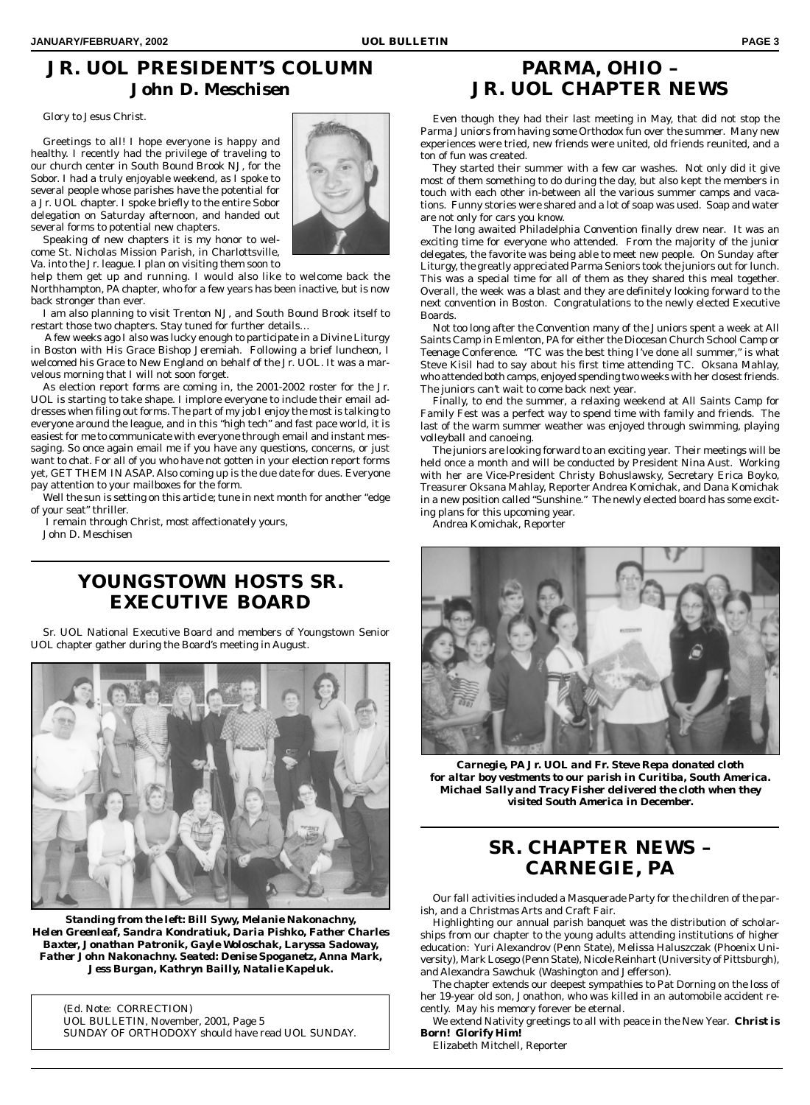# **JR. UOL PRESIDENT'S COLUMN** *John D. Meschisen*

Glory to Jesus Christ.

Greetings to all! I hope everyone is happy and healthy. I recently had the privilege of traveling to our church center in South Bound Brook NJ, for the Sobor. I had a truly enjoyable weekend, as I spoke to several people whose parishes have the potential for a Jr. UOL chapter. I spoke briefly to the entire Sobor delegation on Saturday afternoon, and handed out several forms to potential new chapters.

Speaking of new chapters it is my honor to welcome St. Nicholas Mission Parish, in Charlottsville, Va. into the Jr. league. I plan on visiting them soon to

help them get up and running. I would also like to welcome back the Northhampton, PA chapter, who for a few years has been inactive, but is now back stronger than ever.

I am also planning to visit Trenton NJ, and South Bound Brook itself to restart those two chapters. Stay tuned for further details…

 A few weeks ago I also was lucky enough to participate in a Divine Liturgy in Boston with His Grace Bishop Jeremiah. Following a brief luncheon, I welcomed his Grace to New England on behalf of the Jr. UOL. It was a marvelous morning that I will not soon forget.

As election report forms are coming in, the 2001-2002 roster for the Jr. UOL is starting to take shape. I implore everyone to include their email addresses when filing out forms. The part of my job I enjoy the most is talking to everyone around the league, and in this "high tech" and fast pace world, it is easiest for me to communicate with everyone through email and instant messaging. So once again email me if you have any questions, concerns, or just want to chat. For all of you who have not gotten in your election report forms yet, GET THEM IN ASAP. Also coming up is the due date for dues. Everyone pay attention to your mailboxes for the form.

Well the sun is setting on this article; tune in next month for another "edge of your seat" thriller.

 I remain through Christ, most affectionately yours, John D. Meschisen

## **YOUNGSTOWN HOSTS SR. EXECUTIVE BOARD**

Sr. UOL National Executive Board and members of Youngstown Senior UOL chapter gather during the Board's meeting in August.



*Standing from the left: Bill Sywy, Melanie Nakonachny, Helen Greenleaf, Sandra Kondratiuk, Daria Pishko, Father Charles Baxter, Jonathan Patronik, Gayle Woloschak, Laryssa Sadoway, Father John Nakonachny. Seated: Denise Spoganetz, Anna Mark, Jess Burgan, Kathryn Bailly, Natalie Kapeluk.*

(Ed. Note: CORRECTION) UOL BULLETIN, November, 2001, Page 5 SUNDAY OF ORTHODOXY should have read UOL SUNDAY.



# **PARMA, OHIO – JR. UOL CHAPTER NEWS**

Even though they had their last meeting in May, that did not stop the Parma Juniors from having some Orthodox fun over the summer. Many new experiences were tried, new friends were united, old friends reunited, and a ton of fun was created.

They started their summer with a few car washes. Not only did it give most of them something to do during the day, but also kept the members in touch with each other in-between all the various summer camps and vacations. Funny stories were shared and a lot of soap was used. Soap and water are not only for cars you know.

The long awaited Philadelphia Convention finally drew near. It was an exciting time for everyone who attended. From the majority of the junior delegates, the favorite was being able to meet new people. On Sunday after Liturgy, the greatly appreciated Parma Seniors took the juniors out for lunch. This was a special time for all of them as they shared this meal together. Overall, the week was a blast and they are definitely looking forward to the next convention in Boston. Congratulations to the newly elected Executive Boards.

Not too long after the Convention many of the Juniors spent a week at All Saints Camp in Emlenton, PA for either the Diocesan Church School Camp or Teenage Conference. "TC was the best thing I've done all summer," is what Steve Kisil had to say about his first time attending TC. Oksana Mahlay, who attended both camps, enjoyed spending two weeks with her closest friends. The juniors can't wait to come back next year.

Finally, to end the summer, a relaxing weekend at All Saints Camp for Family Fest was a perfect way to spend time with family and friends. The last of the warm summer weather was enjoyed through swimming, playing volleyball and canoeing.

The juniors are looking forward to an exciting year. Their meetings will be held once a month and will be conducted by President Nina Aust. Working with her are Vice-President Christy Bohuslawsky, Secretary Erica Boyko, Treasurer Oksana Mahlay, Reporter Andrea Komichak, and Dana Komichak in a new position called "Sunshine." The newly elected board has some exciting plans for this upcoming year.

Andrea Komichak, Reporter



*Carnegie, PA Jr. UOL and Fr. Steve Repa donated cloth for altar boy vestments to our parish in Curitiba, South America. Michael Sally and Tracy Fisher delivered the cloth when they visited South America in December.*

# **SR. CHAPTER NEWS – CARNEGIE, PA**

Our fall activities included a Masquerade Party for the children of the parish, and a Christmas Arts and Craft Fair.

Highlighting our annual parish banquet was the distribution of scholarships from our chapter to the young adults attending institutions of higher education: Yuri Alexandrov (Penn State), Melissa Haluszczak (Phoenix University), Mark Losego (Penn State), Nicole Reinhart (University of Pittsburgh), and Alexandra Sawchuk (Washington and Jefferson).

The chapter extends our deepest sympathies to Pat Dorning on the loss of her 19-year old son, Jonathon, who was killed in an automobile accident recently. May his memory forever be eternal.

We extend Nativity greetings to all with peace in the New Year. *Christ is Born! Glorify Him!*

Elizabeth Mitchell, Reporter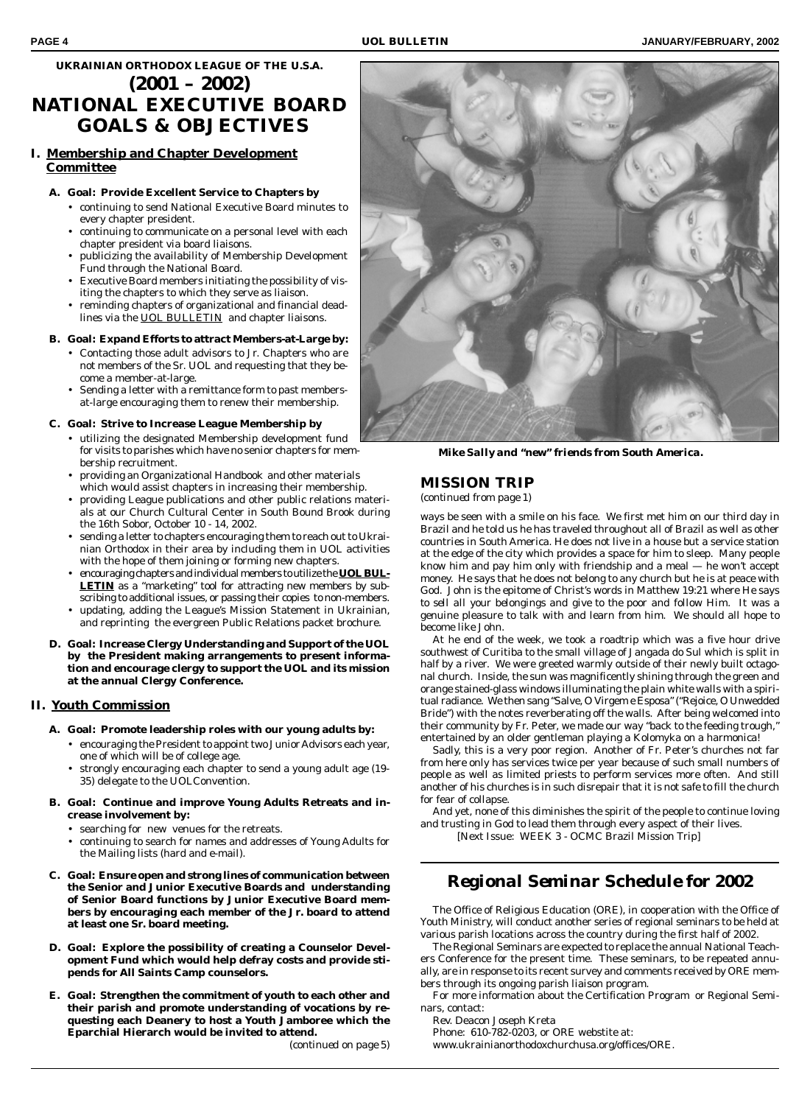### **UKRAINIAN ORTHODOX LEAGUE OF THE U.S.A. (2001 – 2002) NATIONAL EXECUTIVE BOARD GOALS & OBJECTIVES**

#### **I. Membership and Chapter Development Committee**

- **A. Goal: Provide Excellent Service to Chapters by**
	- continuing to send National Executive Board minutes to every chapter president.
	- continuing to communicate on a personal level with each chapter president via board liaisons.
	- publicizing the availability of Membership Development Fund through the National Board.
	- Executive Board members initiating the possibility of visiting the chapters to which they serve as liaison.
	- reminding chapters of organizational and financial deadlines via the *UOL BULLETIN* and chapter liaisons.
- **B. Goal: Expand Efforts to attract Members-at-Large by:**
	- Contacting those adult advisors to Jr. Chapters who are not members of the Sr. UOL and requesting that they become a member-at-large.
	- Sending a letter with a remittance form to past membersat-large encouraging them to renew their membership.
- **C. Goal: Strive to Increase League Membership by**
	- utilizing the designated Membership development fund for visits to parishes which have no senior chapters for membership recruitment.
	- providing an Organizational Handbook and other materials which would assist chapters in increasing their membership.
	- providing League publications and other public relations materials at our Church Cultural Center in South Bound Brook during the 16th Sobor, October 10 - 14, 2002.
	- sending a letter to chapters encouraging them to reach out to Ukrainian Orthodox in their area by including them in UOL activities with the hope of them joining or forming new chapters.
	- encouraging chapters and individual members to utilize the *UOL BUL-LETIN* as a "marketing" tool for attracting new members by subscribing to additional issues, or passing their copies to non-members.
	- updating, adding the League's Mission Statement in Ukrainian, and reprinting the evergreen Public Relations packet brochure.
- **D. Goal: Increase Clergy Understanding and Support of the UOL by the President making arrangements to present information and encourage clergy to support the UOL and its mission at the annual Clergy Conference.**

#### **II. Youth Commission**

- **A. Goal: Promote leadership roles with our young adults by:**
	- encouraging the President to appoint two Junior Advisors each year, one of which will be of college age.
	- strongly encouraging each chapter to send a young adult age (19- 35) delegate to the UOLConvention.
- **B. Goal: Continue and improve Young Adults Retreats and increase involvement by:**
	- searching for new venues for the retreats.
	- continuing to search for names and addresses of Young Adults for the Mailing lists (hard and e-mail).
- **C. Goal: Ensure open and strong lines of communication between the Senior and Junior Executive Boards and understanding of Senior Board functions by Junior Executive Board members by encouraging each member of the Jr. board to attend at least one Sr. board meeting.**
- **D. Goal: Explore the possibility of creating a Counselor Development Fund which would help defray costs and provide stipends for All Saints Camp counselors.**
- **E. Goal: Strengthen the commitment of youth to each other and their parish and promote understanding of vocations by requesting each Deanery to host a Youth Jamboree which the Eparchial Hierarch would be invited to attend.**



*Mike Sally and "new" friends from South America.*

### **MISSION TRIP**

*(continued from page 1)*

ways be seen with a smile on his face. We first met him on our third day in Brazil and he told us he has traveled throughout all of Brazil as well as other countries in South America. He does not live in a house but a service station at the edge of the city which provides a space for him to sleep. Many people know him and pay him only with friendship and a meal — he won't accept money. He says that he does not belong to any church but he is at peace with God. John is the epitome of Christ's words in Matthew 19:21 where He says *to sell all your belongings and give to the poor and follow Him*. It was a genuine pleasure to talk with and learn from him. We should all hope to become like John.

At he end of the week, we took a roadtrip which was a five hour drive southwest of Curitiba to the small village of Jangada do Sul which is split in half by a river. We were greeted warmly outside of their newly built octagonal church. Inside, the sun was magnificently shining through the green and orange stained-glass windows illuminating the plain white walls with a spiritual radiance. We then sang "Salve, O Virgem e Esposa" ("Rejoice, O Unwedded Bride") with the notes reverberating off the walls. After being welcomed into their community by Fr. Peter, we made our way "back to the feeding trough," entertained by an older gentleman playing a Kolomyka on a harmonica!

Sadly, this is a very poor region. Another of Fr. Peter's churches not far from here only has services twice per year because of such small numbers of people as well as limited priests to perform services more often. And still another of his churches is in such disrepair that it is not safe to fill the church for fear of collapse.

And yet, none of this diminishes the spirit of the people to continue loving and trusting in God to lead them through every aspect of their lives.

[Next Issue: WEEK 3 - OCMC Brazil Mission Trip]

## *Regional Seminar Schedule for 2002*

The Office of Religious Education (ORE), in cooperation with the Office of Youth Ministry, will conduct another series of regional seminars to be held at various parish locations across the country during the first half of 2002.

The Regional Seminars are expected to replace the annual National Teachers Conference for the present time. These seminars, to be repeated annually, are in response to its recent survey and comments received by ORE members through its ongoing parish liaison program.

For more information about the Certification Program or Regional Seminars, contact:

Rev. Deacon Joseph Kreta

Phone: 610-782-0203, or ORE webstite at:

www.ukrainianorthodoxchurchusa.org/offices/ORE.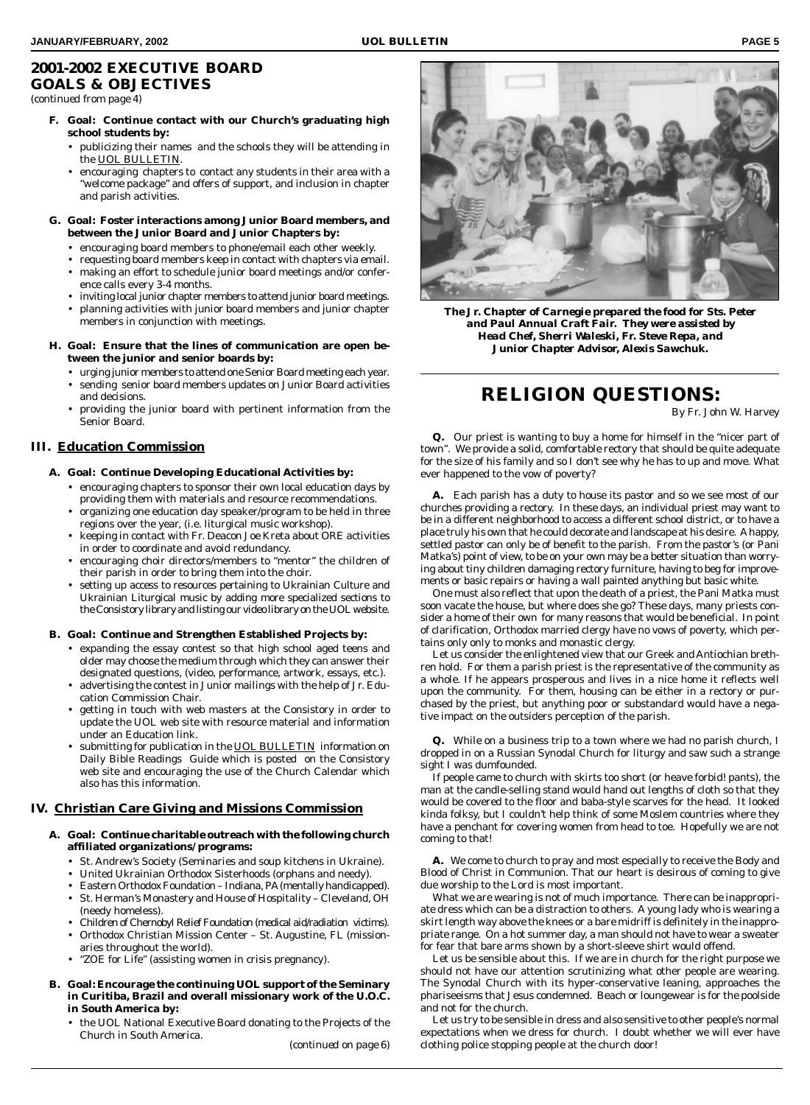### **2001-2002 EXECUTIVE BOARD GOALS & OBJECTIVES** *(continued from page 4)*

**F. Goal: Continue contact with our Church's graduating high school students by:**

- publicizing their names and the schools they will be attending in the *UOL BULLETIN.*
- encouraging chapters to contact any students in their area with a "welcome package" and offers of support, and inclusion in chapter and parish activities.
- **G. Goal: Foster interactions among Junior Board members, and between the Junior Board and Junior Chapters by:**
	- encouraging board members to phone/email each other weekly.
	- requesting board members keep in contact with chapters via email.
	- making an effort to schedule junior board meetings and/or conference calls every 3-4 months.
	- inviting local junior chapter members to attend junior board meetings. • planning activities with junior board members and junior chapter
	- members in conjunction with meetings.
- **H. Goal: Ensure that the lines of communication are open between the junior and senior boards by:**
	- urging junior members to attend one Senior Board meeting each year.
	- sending senior board members updates on Junior Board activities
	- and decisions. • providing the junior board with pertinent information from the Senior Board.

#### **III. Education Commission**

- **A. Goal: Continue Developing Educational Activities by:**
	- encouraging chapters to sponsor their own local education days by providing them with materials and resource recommendations.
	- organizing one education day speaker/program to be held in three regions over the year, (i.e. liturgical music workshop).
	- keeping in contact with Fr. Deacon Joe Kreta about ORE activities in order to coordinate and avoid redundancy.
	- encouraging choir directors/members to "mentor" the children of their parish in order to bring them into the choir.
	- setting up access to resources pertaining to Ukrainian Culture and Ukrainian Liturgical music by adding more specialized sections to the Consistory library and listing our video library on the UOL website.
- **B. Goal: Continue and Strengthen Established Projects by:**
	- expanding the essay contest so that high school aged teens and older may choose the medium through which they can answer their designated questions, (video, performance, artwork, essays, etc.).
	- advertising the contest in Junior mailings with the help of Jr. Education Commission Chair.
	- getting in touch with web masters at the Consistory in order to update the UOL web site with resource material and information under an Education link.
	- submitting for publication in the *UOL BULLETIN* information on Daily Bible Readings Guide which is posted on the Consistory web site and encouraging the use of the Church Calendar which also has this information.

#### **IV. Christian Care Giving and Missions Commission**

- **A. Goal: Continue charitable outreach with the following church affiliated organizations/ programs:**
	- St. Andrew's Society (Seminaries and soup kitchens in Ukraine).
	- United Ukrainian Orthodox Sisterhoods (orphans and needy).
	- Eastern Orthodox Foundation Indiana, PA (mentally handicapped).
	- St. Herman's Monastery and House of Hospitality Cleveland, OH (needy homeless).
	- Children of Chernobyl Relief Foundation (medical aid/radiation victims).
	- Orthodox Christian Mission Center St. Augustine, FL (missionaries throughout the world).
	- "ZOE for Life" (assisting women in crisis pregnancy).
- **B. Goal: Encourage the continuing UOL support of the Seminary in Curitiba, Brazil and overall missionary work of the U.O.C. in South America by:**
	- the UOL National Executive Board donating to the Projects of the Church in South America.

*(continued on page 6)*



*The Jr. Chapter of Carnegie prepared the food for Sts. Peter and Paul Annual Craft Fair. They were assisted by Head Chef, Sherri Waleski, Fr. Steve Repa, and Junior Chapter Advisor, Alexis Sawchuk.*

# **RELIGION QUESTIONS:**

By Fr. John W. Harvey

**Q.** Our priest is wanting to buy a home for himself in the "nicer part of town". We provide a solid, comfortable rectory that should be quite adequate for the size of his family and so I don't see why he has to up and move. What ever happened to the vow of poverty?

**A.** Each parish has a duty to house its pastor and so we see most of our churches providing a rectory. In these days, an individual priest may want to be in a different neighborhood to access a different school district, or to have a place truly his own that he could decorate and landscape at his desire. A happy, settled pastor can only be of benefit to the parish. From the pastor's (or Pani Matka's) point of view, to be on your own may be a better situation than worrying about tiny children damaging rectory furniture, having to beg for improvements or basic repairs or having a wall painted anything but basic white.

One must also reflect that upon the death of a priest, the Pani Matka must soon vacate the house, but where does she go? These days, many priests consider a home of their own for many reasons that would be beneficial. In point of clarification, Orthodox married clergy have no vows of poverty, which pertains only only to monks and monastic clergy.

Let us consider the enlightened view that our Greek and Antiochian brethren hold. For them a parish priest is the representative of the community as a whole. If he appears prosperous and lives in a nice home it reflects well upon the community. For them, housing can be either in a rectory or purchased by the priest, but anything poor or substandard would have a negative impact on the outsiders perception of the parish.

**Q.** While on a business trip to a town where we had no parish church, I dropped in on a Russian Synodal Church for liturgy and saw such a strange sight I was dumfounded.

If people came to church with skirts too short (or heave forbid! pants), the man at the candle-selling stand would hand out lengths of cloth so that they would be covered to the floor and baba-style scarves for the head. It looked kinda folksy, but I couldn't help think of some Moslem countries where they have a penchant for covering women from head to toe. Hopefully we are not coming to that!

**A.** We come to church to pray and most especially to receive the Body and Blood of Christ in Communion. That our heart is desirous of coming to give due worship to the Lord is most important.

What we are wearing is not of much importance. There can be inappropriate dress which can be a distraction to others. A young lady who is wearing a skirt length way above the knees or a bare midriff is definitely in the inappropriate range. On a hot summer day, a man should not have to wear a sweater for fear that bare arms shown by a short-sleeve shirt would offend.

Let us be sensible about this. If we are in church for the right purpose we should not have our attention scrutinizing what other people are wearing. The Synodal Church with its hyper-conservative leaning, approaches the phariseeisms that Jesus condemned. Beach or loungewear is for the poolside and not for the church.

Let us try to be sensible in dress and also sensitive to other people's normal expectations when we dress for church. I doubt whether we will ever have clothing police stopping people at the church door!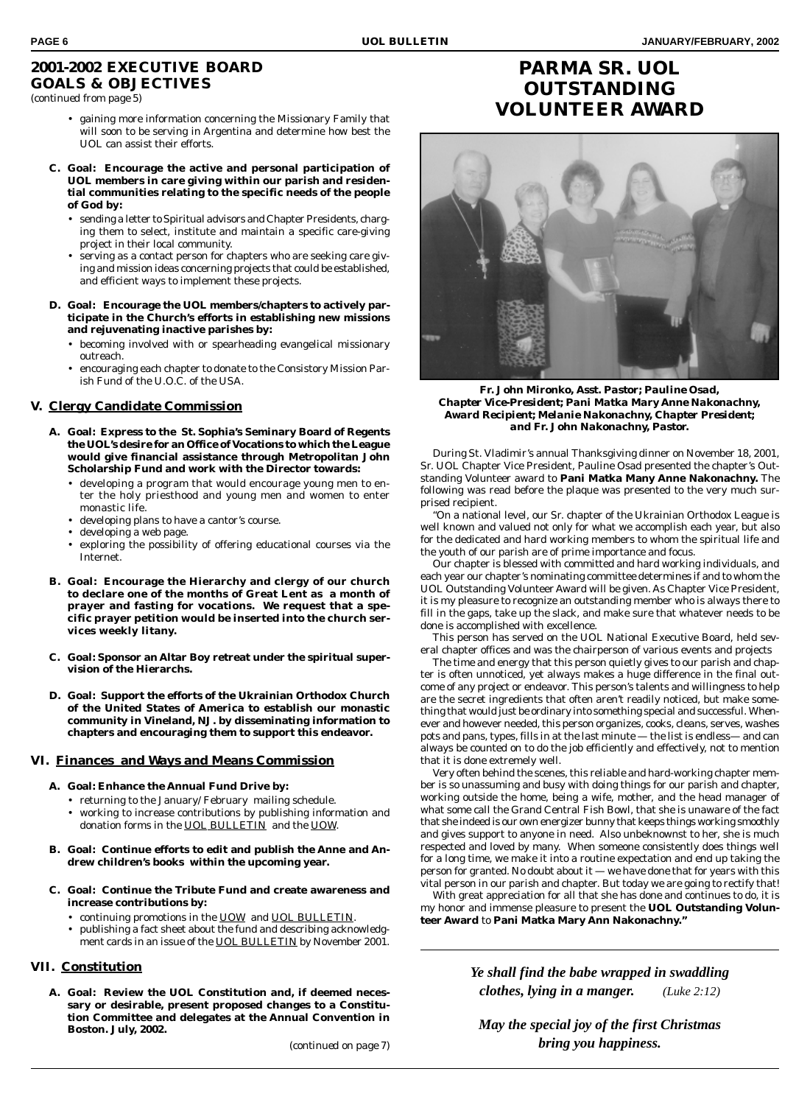### **2001-2002 EXECUTIVE BOARD GOALS & OBJECTIVES** *(continued from page 5)*

- gaining more information concerning the Missionary Family that will soon to be serving in Argentina and determine how best the UOL can assist their efforts.
- **C. Goal: Encourage the active and personal participation of UOL members in care giving within our parish and residential communities relating to the specific needs of the people of God by:**
	- sending a letter to Spiritual advisors and Chapter Presidents, charging them to select, institute and maintain a specific care-giving project in their local community.
	- serving as a contact person for chapters who are seeking care giving and mission ideas concerning projects that could be established, and efficient ways to implement these projects.
- **D. Goal: Encourage the UOL members/chapters to actively participate in the Church's efforts in establishing new missions and rejuvenating inactive parishes by:**
	- becoming involved with or spearheading evangelical missionary outreach.
	- encouraging each chapter to donate to the Consistory Mission Parish Fund of the U.O.C. of the USA.

#### **V. Clergy Candidate Commission**

- **A. Goal: Express to the St. Sophia's Seminary Board of Regents the UOL's desire for an Office of Vocations to which the League would give financial assistance through Metropolitan John Scholarship Fund and work with the Director towards:**
	- developing a program that would encourage young men to enter the holy priesthood and young men and women to enter monastic life.
	- developing plans to have a cantor's course.
	- developing a web page.
	- exploring the possibility of offering educational courses via the Internet.
- **B. Goal: Encourage the Hierarchy and clergy of our church to declare one of the months of Great Lent as a month of prayer and fasting for vocations. We request that a specific prayer petition would be inserted into the church services weekly litany.**
- **C. Goal: Sponsor an Altar Boy retreat under the spiritual supervision of the Hierarchs.**
- **D. Goal: Support the efforts of the Ukrainian Orthodox Church of the United States of America to establish our monastic community in Vineland, NJ. by disseminating information to chapters and encouraging them to support this endeavor.**

#### **VI. Finances and Ways and Means Commission**

- **A. Goal: Enhance the Annual Fund Drive by:**
	- returning to the January/ February mailing schedule.
	- working to increase contributions by publishing information and donation forms in the *UOL BULLETIN* and the *UOW.*
- **B. Goal: Continue efforts to edit and publish the Anne and Andrew children's books within the upcoming year.**
- **C. Goal: Continue the Tribute Fund and create awareness and increase contributions by:**
	- continuing promotions in the *UOW* and *UOL BULLETIN.*
	- publishing a fact sheet about the fund and describing acknowledgment cards in an issue of the *UOL BULLETIN* by November 2001.

#### **VII. Constitution**

**A. Goal: Review the UOL Constitution and, if deemed necessary or desirable, present proposed changes to a Constitution Committee and delegates at the Annual Convention in Boston. July, 2002.**

## **PARMA SR. UOL OUTSTANDING VOLUNTEER AWARD**



*Fr. John Mironko, Asst. Pastor; Pauline Osad, Chapter Vice-President; Pani Matka Mary Anne Nakonachny, Award Recipient; Melanie Nakonachny, Chapter President; and Fr. John Nakonachny, Pastor.*

During St. Vladimir's annual Thanksgiving dinner on November 18, 2001, Sr. UOL Chapter Vice President, Pauline Osad presented the chapter's Outstanding Volunteer award to **Pani Matka Many Anne Nakonachny.** The following was read before the plaque was presented to the very much surprised recipient.

"On a national level, our Sr. chapter of the Ukrainian Orthodox League is well known and valued not only for what we accomplish each year, but also for the dedicated and hard working members to whom the spiritual life and the youth of our parish are of prime importance and focus.

Our chapter is blessed with committed and hard working individuals, and each year our chapter's nominating committee determines if and to whom the UOL Outstanding Volunteer Award will be given. As Chapter Vice President, it is my pleasure to recognize an outstanding member who is always there to fill in the gaps, take up the slack, and make sure that whatever needs to be done is accomplished with excellence.

This person has served on the UOL National Executive Board, held several chapter offices and was the chairperson of various events and projects

The time and energy that this person quietly gives to our parish and chapter is often unnoticed, yet always makes a huge difference in the final outcome of any project or endeavor. This person's talents and willingness to help are the secret ingredients that often aren't readily noticed, but make something that would just be ordinary into something special and successful. Whenever and however needed, this person organizes, cooks, cleans, serves, washes pots and pans, types, fills in at the last minute — the list is endless— and can always be counted on to do the job efficiently and effectively, not to mention that it is done extremely well.

Very often behind the scenes, this reliable and hard-working chapter member is so unassuming and busy with doing things for our parish and chapter, working outside the home, being a wife, mother, and the head manager of what some call the Grand Central Fish Bowl, that she is unaware of the fact that she indeed is our own energizer bunny that keeps things working smoothly and gives support to anyone in need. Also unbeknownst to her, she is much respected and loved by many. When someone consistently does things well for a long time, we make it into a routine expectation and end up taking the person for granted. No doubt about it — we have done that for years with this vital person in our parish and chapter. But today we are going to rectify that!

With great appreciation for all that she has done and continues to do, it is my honor and immense pleasure to present the **UOL Outstanding Volunteer Award** to **Pani Matka Mary Ann Nakonachny."**

> *Ye shall find the babe wrapped in swaddling clothes, lying in a manger. (Luke 2:12)*

*May the special joy of the first Christmas bring you happiness.*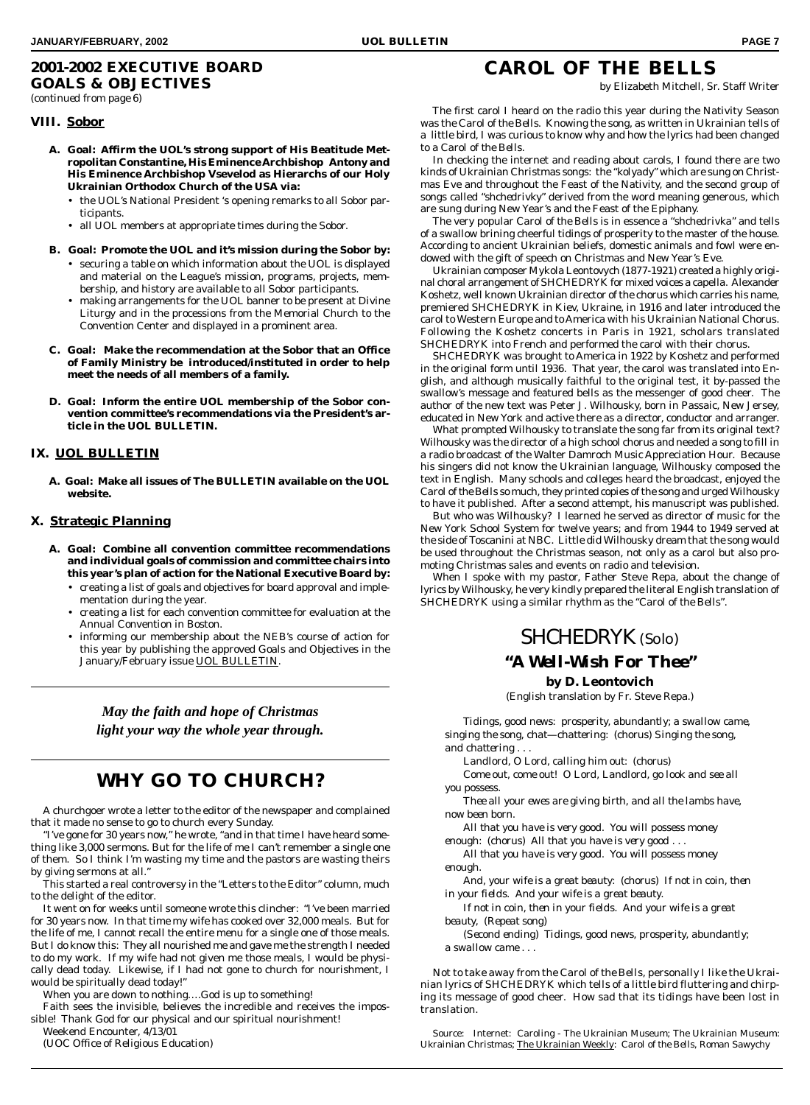### **2001-2002 EXECUTIVE BOARD GOALS & OBJECTIVES** *(continued from page 6)*

# **CAROL OF THE BELLS**

by Elizabeth Mitchell, Sr. Staff Writer

#### **VIII. Sobor**

- **A. Goal: Affirm the UOL's strong support of His Beatitude Metropolitan Constantine, His Eminence Archbishop Antony and His Eminence Archbishop Vsevelod as Hierarchs of our Holy Ukrainian Orthodox Church of the USA via:**
	- the UOL's National President 's opening remarks to all Sobor participants.
	- all UOL members at appropriate times during the Sobor.
- **B. Goal: Promote the UOL and it's mission during the Sobor by:** • securing a table on which information about the UOL is displayed and material on the League's mission, programs, projects, membership, and history are available to all Sobor participants.
	- making arrangements for the UOL banner to be present at Divine Liturgy and in the processions from the Memorial Church to the Convention Center and displayed in a prominent area.
- **C. Goal: Make the recommendation at the Sobor that an Office of Family Ministry be introduced/instituted in order to help meet the needs of all members of a family.**
- **D. Goal: Inform the entire UOL membership of the Sobor convention committee's recommendations via the President's article in the UOL BULLETIN.**

#### **IX. UOL BULLETIN**

**A. Goal: Make all issues of The BULLETIN available on the UOL website.**

#### **X. Strategic Planning**

- **A. Goal: Combine all convention committee recommendations and individual goals of commission and committee chairs into this year's plan of action for the National Executive Board by:**
	- creating a list of goals and objectives for board approval and implementation during the year.
	- creating a list for each convention committee for evaluation at the Annual Convention in Boston.
	- informing our membership about the NEB's course of action for this year by publishing the approved Goals and Objectives in the January/February issue *UOL BULLETIN*.

*May the faith and hope of Christmas light your way the whole year through.*

# **WHY GO TO CHURCH?**

A churchgoer wrote a letter to the editor of the newspaper and complained that it made no sense to go to church every Sunday.

"I've gone for 30 years now," he wrote, "and in that time I have heard something like 3,000 sermons. But for the life of me I can't remember a single one of them. So I think I'm wasting my time and the pastors are wasting theirs by giving sermons at all."

This started a real controversy in the "Letters to the Editor" column, much to the delight of the editor.

It went on for weeks until someone wrote this clincher: "I've been married for 30 years now. In that time my wife has cooked over 32,000 meals. But for the life of me, I cannot recall the entire menu for a single one of those meals. But I do know this: They all nourished me and gave me the strength I needed to do my work. If my wife had not given me those meals, I would be physically dead today. Likewise, if I had not gone to church for nourishment, I would be spiritually dead today!"

When you are down to nothing....God is up to something!

Faith sees the invisible, believes the incredible and receives the impossible! Thank God for our physical and our spiritual nourishment!

Weekend Encounter, 4/13/01

(UOC Office of Religious Education)

The first carol I heard on the radio this year during the Nativity Season was the *Carol of the Bells.* Knowing the song, as written in Ukrainian tells of a little bird, I was curious to know why and how the lyrics had been changed to a *Carol of the Bells.*

In checking the internet and reading about carols, I found there are two kinds of Ukrainian Christmas songs: the "*kolyady"* which are sung on Christmas Eve and throughout the Feast of the Nativity, and the second group of songs called *"shchedrivky"* derived from the word meaning generous, which are sung during New Year's and the Feast of the Epiphany.

The very popular *Carol of the Bells* is in essence a *"shchedrivka"* and tells of a swallow brining cheerful tidings of prosperity to the master of the house. According to ancient Ukrainian beliefs, domestic animals and fowl were endowed with the gift of speech on Christmas and New Year's Eve.

Ukrainian composer Mykola Leontovych (1877-1921) created a highly original choral arrangement of SHCHEDRYK for mixed voices a capella. Alexander Koshetz, well known Ukrainian director of the chorus which carries his name, premiered SHCHEDRYK in Kiev, Ukraine, in 1916 and later introduced the carol to Western Europe and to America with his Ukrainian National Chorus. Following the Koshetz concerts in Paris in 1921, scholars translated SHCHEDRYK into French and performed the carol with their chorus.

SHCHEDRYK was brought to America in 1922 by Koshetz and performed in the original form until 1936. That year, the carol was translated into English, and although musically faithful to the original test, it by-passed the swallow's message and featured bells as the messenger of good cheer. The author of the new text was Peter J. Wilhousky, born in Passaic, New Jersey, educated in New York and active there as a director, conductor and arranger.

What prompted Wilhousky to translate the song far from its original text? Wilhousky was the director of a high school chorus and needed a song to fill in a radio broadcast of the Walter Damroch Music Appreciation Hour. Because his singers did not know the Ukrainian language, Wilhousky composed the text in English. Many schools and colleges heard the broadcast, enjoyed the *Carol of the Bells* so much, they printed copies of the song and urged Wilhousky to have it published. After a second attempt, his manuscript was published.

But who was Wilhousky? I learned he served as director of music for the New York School System for twelve years; and from 1944 to 1949 served at the side of Toscanini at NBC. Little did Wilhousky dream that the song would be used throughout the Christmas season, not only as a carol but also promoting Christmas sales and events on radio and television.

When I spoke with my pastor, Father Steve Repa, about the change of lyrics by Wilhousky, he very kindly prepared the literal English translation of SHCHEDRYK using a similar rhythm as the *"Carol of the Bells".*



### *"A Well-Wish For Thee"*

**by D. Leontovich**

(English translation by Fr. Steve Repa.)

*Tidings, good news: prosperity, abundantly; a swallow came, singing the song, chat—chattering: (chorus) Singing the song, and chattering . . .*

*Landlord, O Lord, calling him out: (chorus)*

*Come out, come out! O Lord, Landlord, go look and see all you possess.*

*Thee all your ewes are giving birth, and all the lambs have, now been born.*

*All that you have is very good. You will possess money enough: (chorus) All that you have is very good . . .*

*All that you have is very good. You will possess money enough.*

*And, your wife is a great beauty: (chorus) If not in coin, then in your fields. And your wife is a great beauty.*

*If not in coin, then in your fields. And your wife is a great beauty, (Repeat song)*

*(Second ending) Tidings, good news, prosperity, abundantly; a swallow came . . .*

Not to take away from the *Carol of the Bells,* personally I like the Ukrainian lyrics of SHCHEDRYK which tells of a little bird fluttering and chirping its message of good cheer. How sad that its tidings have been lost in translation.

Source: Internet: *Caroling* - The Ukrainian Museum; The Ukrainian Museum: *Ukrainian Christmas;* The Ukrainian Weekly: *Carol of the Bells,* Roman Sawychy